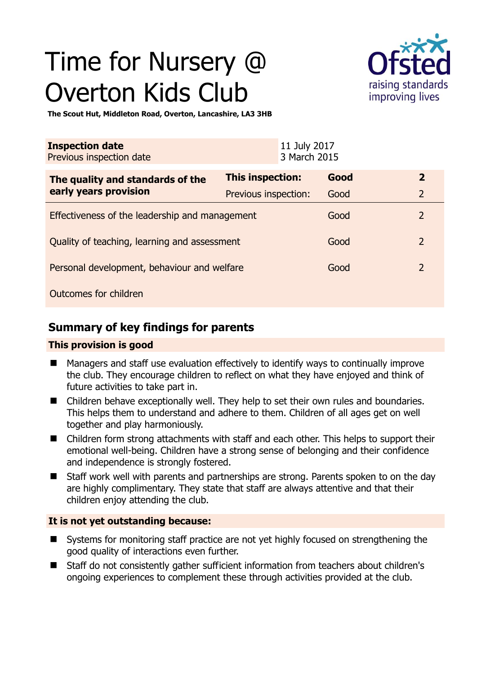# Time for Nursery @ Overton Kids Club



**The Scout Hut, Middleton Road, Overton, Lancashire, LA3 3HB** 

| <b>Inspection date</b><br>Previous inspection date        |                      | 11 July 2017<br>3 March 2015 |      |                |
|-----------------------------------------------------------|----------------------|------------------------------|------|----------------|
| The quality and standards of the<br>early years provision | This inspection:     |                              | Good | $\overline{2}$ |
|                                                           | Previous inspection: |                              | Good | $\overline{2}$ |
| Effectiveness of the leadership and management            |                      |                              | Good | $\overline{2}$ |
| Quality of teaching, learning and assessment              |                      |                              | Good | $\overline{2}$ |
| Personal development, behaviour and welfare               |                      |                              | Good | $\overline{2}$ |
| Outcomes for children                                     |                      |                              |      |                |

## **Summary of key findings for parents**

#### **This provision is good**

- Managers and staff use evaluation effectively to identify ways to continually improve the club. They encourage children to reflect on what they have enjoyed and think of future activities to take part in.
- Children behave exceptionally well. They help to set their own rules and boundaries. This helps them to understand and adhere to them. Children of all ages get on well together and play harmoniously.
- Children form strong attachments with staff and each other. This helps to support their emotional well-being. Children have a strong sense of belonging and their confidence and independence is strongly fostered.
- Staff work well with parents and partnerships are strong. Parents spoken to on the day are highly complimentary. They state that staff are always attentive and that their children enjoy attending the club.

## **It is not yet outstanding because:**

- Systems for monitoring staff practice are not yet highly focused on strengthening the good quality of interactions even further.
- Staff do not consistently gather sufficient information from teachers about children's ongoing experiences to complement these through activities provided at the club.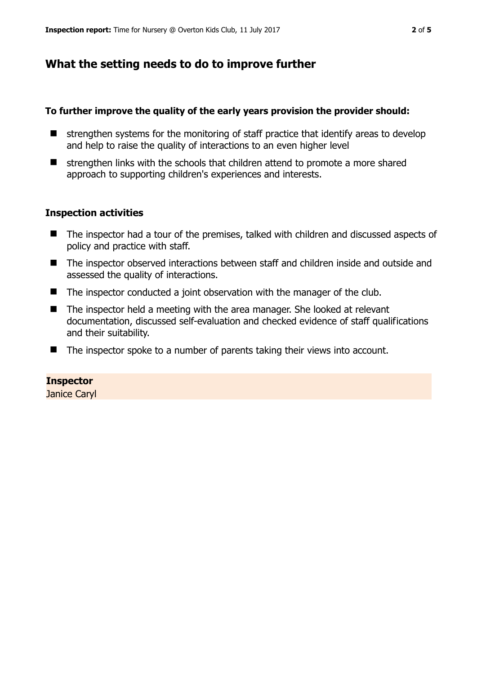## **What the setting needs to do to improve further**

#### **To further improve the quality of the early years provision the provider should:**

- $\blacksquare$  strengthen systems for the monitoring of staff practice that identify areas to develop and help to raise the quality of interactions to an even higher level
- $\blacksquare$  strengthen links with the schools that children attend to promote a more shared approach to supporting children's experiences and interests.

#### **Inspection activities**

- The inspector had a tour of the premises, talked with children and discussed aspects of policy and practice with staff.
- The inspector observed interactions between staff and children inside and outside and assessed the quality of interactions.
- The inspector conducted a joint observation with the manager of the club.
- The inspector held a meeting with the area manager. She looked at relevant documentation, discussed self-evaluation and checked evidence of staff qualifications and their suitability.
- The inspector spoke to a number of parents taking their views into account.

#### **Inspector**

Janice Caryl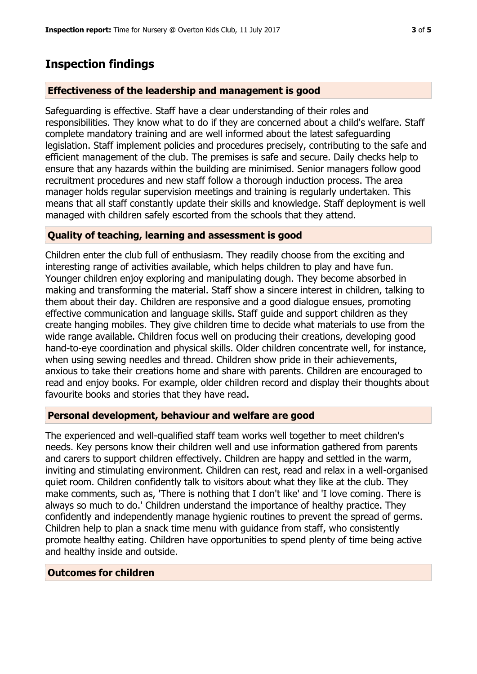## **Inspection findings**

#### **Effectiveness of the leadership and management is good**

Safeguarding is effective. Staff have a clear understanding of their roles and responsibilities. They know what to do if they are concerned about a child's welfare. Staff complete mandatory training and are well informed about the latest safeguarding legislation. Staff implement policies and procedures precisely, contributing to the safe and efficient management of the club. The premises is safe and secure. Daily checks help to ensure that any hazards within the building are minimised. Senior managers follow good recruitment procedures and new staff follow a thorough induction process. The area manager holds regular supervision meetings and training is regularly undertaken. This means that all staff constantly update their skills and knowledge. Staff deployment is well managed with children safely escorted from the schools that they attend.

### **Quality of teaching, learning and assessment is good**

Children enter the club full of enthusiasm. They readily choose from the exciting and interesting range of activities available, which helps children to play and have fun. Younger children enjoy exploring and manipulating dough. They become absorbed in making and transforming the material. Staff show a sincere interest in children, talking to them about their day. Children are responsive and a good dialogue ensues, promoting effective communication and language skills. Staff guide and support children as they create hanging mobiles. They give children time to decide what materials to use from the wide range available. Children focus well on producing their creations, developing good hand-to-eye coordination and physical skills. Older children concentrate well, for instance, when using sewing needles and thread. Children show pride in their achievements, anxious to take their creations home and share with parents. Children are encouraged to read and enjoy books. For example, older children record and display their thoughts about favourite books and stories that they have read.

#### **Personal development, behaviour and welfare are good**

The experienced and well-qualified staff team works well together to meet children's needs. Key persons know their children well and use information gathered from parents and carers to support children effectively. Children are happy and settled in the warm, inviting and stimulating environment. Children can rest, read and relax in a well-organised quiet room. Children confidently talk to visitors about what they like at the club. They make comments, such as, 'There is nothing that I don't like' and 'I love coming. There is always so much to do.' Children understand the importance of healthy practice. They confidently and independently manage hygienic routines to prevent the spread of germs. Children help to plan a snack time menu with guidance from staff, who consistently promote healthy eating. Children have opportunities to spend plenty of time being active and healthy inside and outside.

#### **Outcomes for children**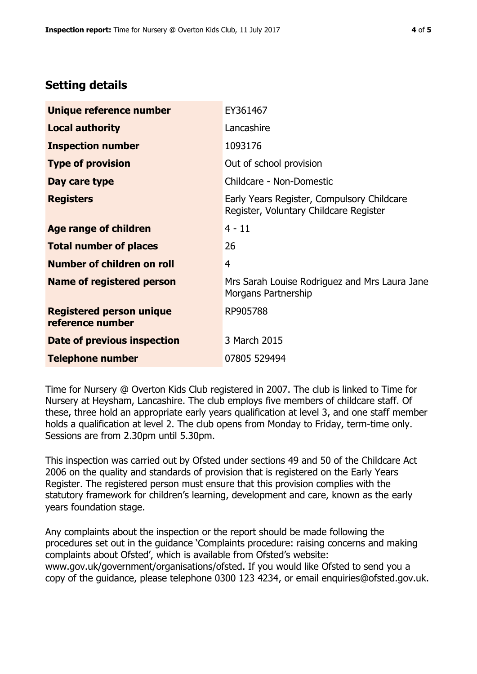# **Setting details**

| Unique reference number                             | EY361467                                                                             |  |  |
|-----------------------------------------------------|--------------------------------------------------------------------------------------|--|--|
| <b>Local authority</b>                              | Lancashire                                                                           |  |  |
| <b>Inspection number</b>                            | 1093176                                                                              |  |  |
| <b>Type of provision</b>                            | Out of school provision                                                              |  |  |
| Day care type                                       | Childcare - Non-Domestic                                                             |  |  |
| <b>Registers</b>                                    | Early Years Register, Compulsory Childcare<br>Register, Voluntary Childcare Register |  |  |
| <b>Age range of children</b>                        | $4 - 11$                                                                             |  |  |
| <b>Total number of places</b>                       | 26                                                                                   |  |  |
| Number of children on roll                          | 4                                                                                    |  |  |
| Name of registered person                           | Mrs Sarah Louise Rodriguez and Mrs Laura Jane<br>Morgans Partnership                 |  |  |
| <b>Registered person unique</b><br>reference number | RP905788                                                                             |  |  |
| Date of previous inspection                         | 3 March 2015                                                                         |  |  |
| <b>Telephone number</b>                             | 07805 529494                                                                         |  |  |

Time for Nursery @ Overton Kids Club registered in 2007. The club is linked to Time for Nursery at Heysham, Lancashire. The club employs five members of childcare staff. Of these, three hold an appropriate early years qualification at level 3, and one staff member holds a qualification at level 2. The club opens from Monday to Friday, term-time only. Sessions are from 2.30pm until 5.30pm.

This inspection was carried out by Ofsted under sections 49 and 50 of the Childcare Act 2006 on the quality and standards of provision that is registered on the Early Years Register. The registered person must ensure that this provision complies with the statutory framework for children's learning, development and care, known as the early years foundation stage.

Any complaints about the inspection or the report should be made following the procedures set out in the guidance 'Complaints procedure: raising concerns and making complaints about Ofsted', which is available from Ofsted's website: www.gov.uk/government/organisations/ofsted. If you would like Ofsted to send you a copy of the guidance, please telephone 0300 123 4234, or email enquiries@ofsted.gov.uk.